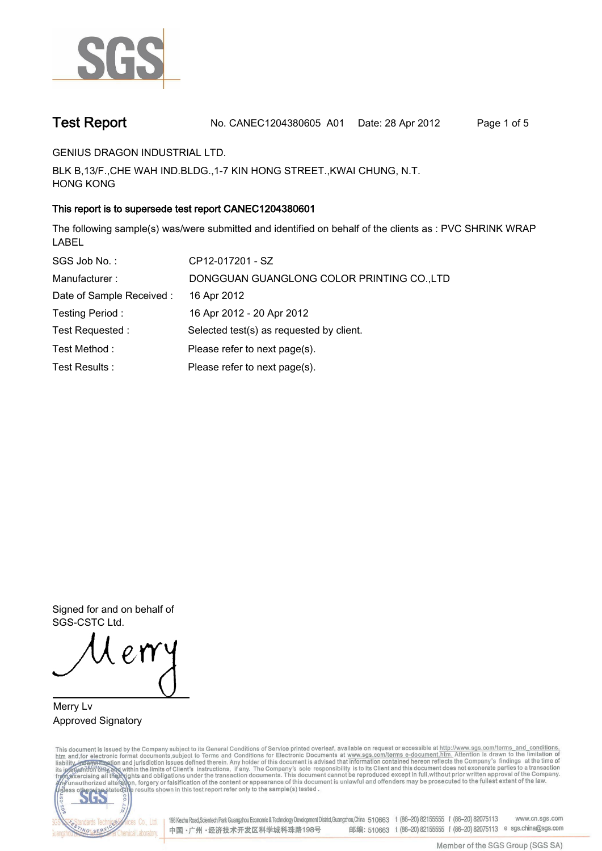

**Test Report. No. CANEC1204380605 A01 Date: 28 Apr 2012. Page 1 of 5.**

**GENIUS DRAGON INDUSTRIAL LTD..**

**BLK B,13/F.,CHE WAH IND.BLDG.,1-7 KIN HONG STREET.,KWAI CHUNG, N.T. HONG KONG.**

# **This report is to supersede test report CANEC1204380601.**

**The following sample(s) was/were submitted and identified on behalf of the clients as : PVC SHRINK WRAP LABEL.**

| SGS Job No.:              | CP12-017201 - SZ                           |
|---------------------------|--------------------------------------------|
| Manufacturer:             | DONGGUAN GUANGLONG COLOR PRINTING CO., LTD |
| Date of Sample Received : | 16 Apr 2012                                |
| Testing Period:           | 16 Apr 2012 - 20 Apr 2012                  |
| Test Requested :          | Selected test(s) as requested by client.   |
| Test Method:              | Please refer to next page(s).              |
| Test Results :            | Please refer to next page(s).              |

**Signed for and on behalf of SGS-CSTC Ltd..**

**Merry Lv. Approved Signatory.**

This document is issued by the Company subject to its General Conditions of Service printed overleaf, available on request or accessible at http://www.sgs.com/terms\_and\_conditions.<br>htm\_and, for electronic format documents,



198 Kezhu Road,Scientech Park Guangzhou Economic & Technology Development District,Guangzhou,China 510663 t (86-20) 82155555 f (86-20) 82075113 www.cn.sgs.com 邮编: 510663 t (86-20) 82155555 f (86-20) 82075113 e sgs.china@sgs.com 中国·广州·经济技术开发区科学城科珠路198号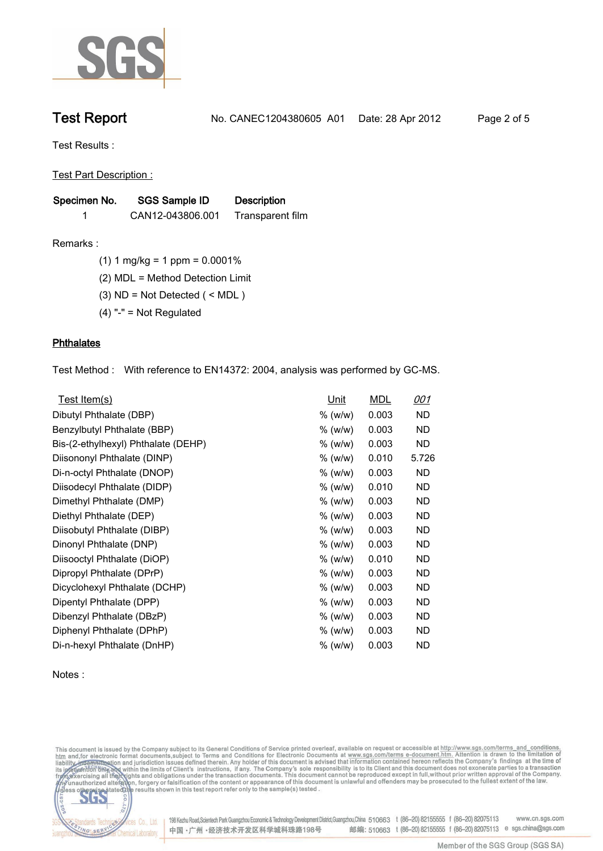

**Test Report. No. CANEC1204380605 A01 Date: 28 Apr 2012. Page 2 of 5.**

**Test Results :.**

**Test Part Description :.**

| Specimen No. | <b>SGS Sample ID</b> | <b>Description</b> |  |
|--------------|----------------------|--------------------|--|
|              | CAN12-043806.001     | Transparent film   |  |

**Remarks :.(1) 1 mg/kg = 1 ppm = 0.0001%.**

**(2) MDL = Method Detection Limit.**

**(3) ND = Not Detected ( < MDL ).**

**(4) "-" = Not Regulated.**

## **Phthalates.**

**Test Method :. With reference to EN14372: 2004, analysis was performed by GC-MS..**

| Test Item(s)                        | Unit    | <b>MDL</b> | <u>001</u> |
|-------------------------------------|---------|------------|------------|
| Dibutyl Phthalate (DBP)             | % (w/w) | 0.003      | ND         |
| Benzylbutyl Phthalate (BBP)         | % (w/w) | 0.003      | ND         |
| Bis-(2-ethylhexyl) Phthalate (DEHP) | % (w/w) | 0.003      | ND         |
| Diisononyl Phthalate (DINP)         | % (w/w) | 0.010      | 5.726      |
| Di-n-octyl Phthalate (DNOP)         | % (w/w) | 0.003      | <b>ND</b>  |
| Diisodecyl Phthalate (DIDP)         | % (w/w) | 0.010      | <b>ND</b>  |
| Dimethyl Phthalate (DMP)            | % (w/w) | 0.003      | <b>ND</b>  |
| Diethyl Phthalate (DEP)             | % (w/w) | 0.003      | ND.        |
| Diisobutyl Phthalate (DIBP)         | % (w/w) | 0.003      | <b>ND</b>  |
| Dinonyl Phthalate (DNP)             | % (w/w) | 0.003      | ND         |
| Diisooctyl Phthalate (DiOP)         | % (w/w) | 0.010      | ND         |
| Dipropyl Phthalate (DPrP)           | % (w/w) | 0.003      | ND         |
| Dicyclohexyl Phthalate (DCHP)       | % (w/w) | 0.003      | ND         |
| Dipentyl Phthalate (DPP)            | % (w/w) | 0.003      | ND         |
| Dibenzyl Phthalate (DBzP)           | % (w/w) | 0.003      | ND         |
| Diphenyl Phthalate (DPhP)           | % (w/w) | 0.003      | ND         |
| Di-n-hexyl Phthalate (DnHP)         | % (w/w) | 0.003      | ND         |

## **Notes :.**

This document is issued by the Company subject to its General Conditions of Service printed overleaf, available on request or accessible at http://www.sgs.com/terms\_and\_conditions.<br>htm\_and, for electronic format documents,



198 Kezhu Road, Scientech Park Guangzhou Economic & Technology Development District, Guangzhou, China 510663 t (86-20) 82155555 f (86-20) 82075113 www.cn.sgs.com 邮编: 510663 t (86-20) 82155555 f (86-20) 82075113 e sgs.china@sgs.com 中国·广州·经济技术开发区科学城科珠路198号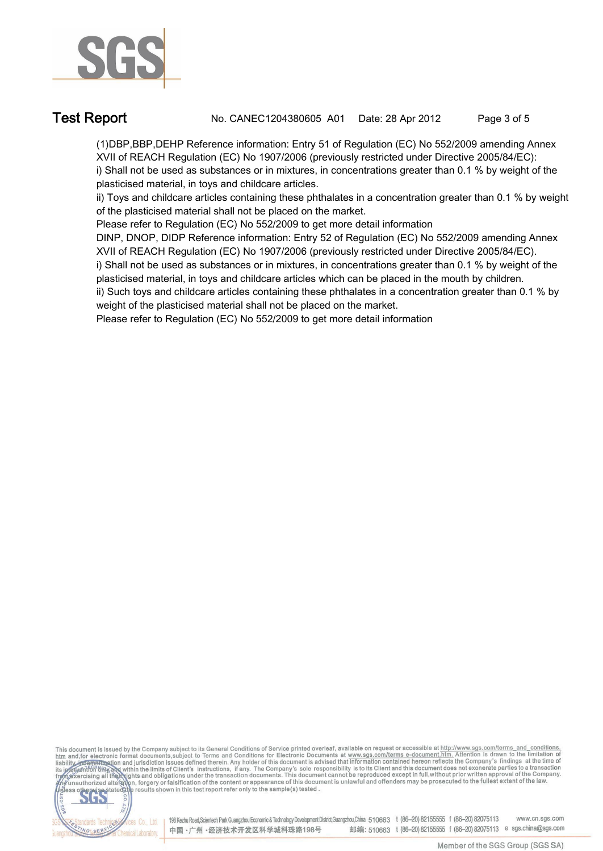

**Test Report. No. CANEC1204380605 A01 Date: 28 Apr 2012. Page 3 of 5.**

**(1)DBP,BBP,DEHP Reference information: Entry 51 of Regulation (EC) No 552/2009 amending Annex XVII of REACH Regulation (EC) No 1907/2006 (previously restricted under Directive 2005/84/EC): i) Shall not be used as substances or in mixtures, in concentrations greater than 0.1 % by weight of the plasticised material, in toys and childcare articles.** 

**ii) Toys and childcare articles containing these phthalates in a concentration greater than 0.1 % by weight of the plasticised material shall not be placed on the market.** 

**Please refer to Regulation (EC) No 552/2009 to get more detail information**

**DINP, DNOP, DIDP Reference information: Entry 52 of Regulation (EC) No 552/2009 amending Annex XVII of REACH Regulation (EC) No 1907/2006 (previously restricted under Directive 2005/84/EC).** 

**i) Shall not be used as substances or in mixtures, in concentrations greater than 0.1 % by weight of the plasticised material, in toys and childcare articles which can be placed in the mouth by children.** 

**ii) Such toys and childcare articles containing these phthalates in a concentration greater than 0.1 % by weight of the plasticised material shall not be placed on the market.** 

**Please refer to Regulation (EC) No 552/2009 to get more detail information.**

This document is issued by the Company subject to its General Conditions of Service printed overleaf, available on request or accessible at http://www.sgs.com/terms\_and\_conditions.<br>htm\_and,for electronic format documents,s



198 Kezhu Road, Scientech Park Guangzhou Economic & Technology Development District, Guangzhou, China 510663 t (86-20) 82155555 f (86-20) 82075113 www.cn.sgs.com 邮编: 510663 t (86-20) 82155555 f (86-20) 82075113 e sgs.china@sgs.com 中国·广州·经济技术开发区科学城科珠路198号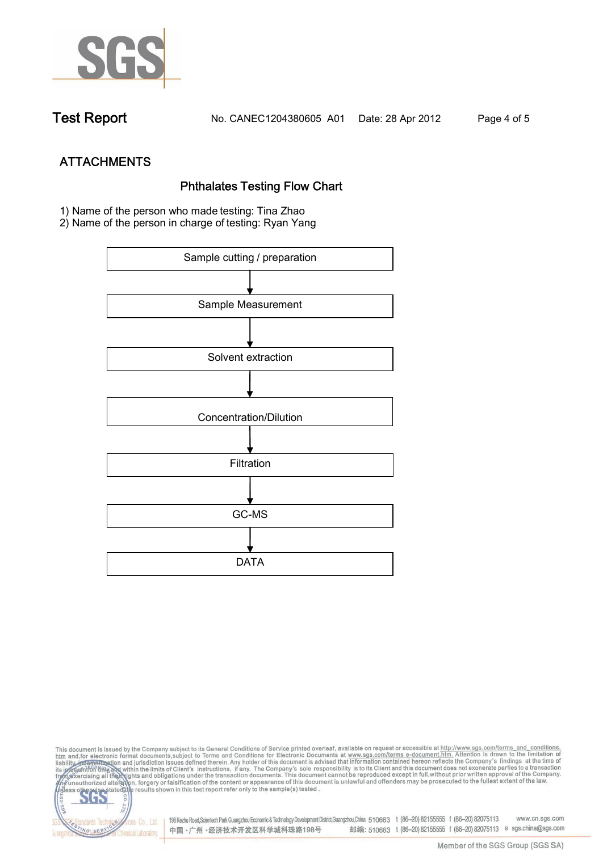

**Test Report. No. CANEC1204380605 A01 Date: 28 Apr 2012. Page 4 of 5.**

**ATTACHMENTS Phthalates Testing Flow Chart 1)** Name of the person who made testing: **Tina Zhao**

**2)** Name of the person in charge of testing: **Ryan Yang**



This document is issued by the Company subject to its General Conditions of Service printed overleaf, available on request or accessible at http://www.sgs.com/terms\_and\_conditions.<br>It and for electronic format documents,su co **202** 198 Kezhu Road,Scientech Park Guangzhou Economic & Technology Development District,Guangzhou,China 510663 t (86-20) 82155555 f (86-20) 82075113 www.cn.sgs.com dards Ter vices Co., Ltd. 邮编: 510663 t (86-20) 82155555 f (86-20) 82075113 e sgs.china@sgs.com 中国·广州·经济技术开发区科学城科珠路198号 NG SER **Chemical Laboratory**